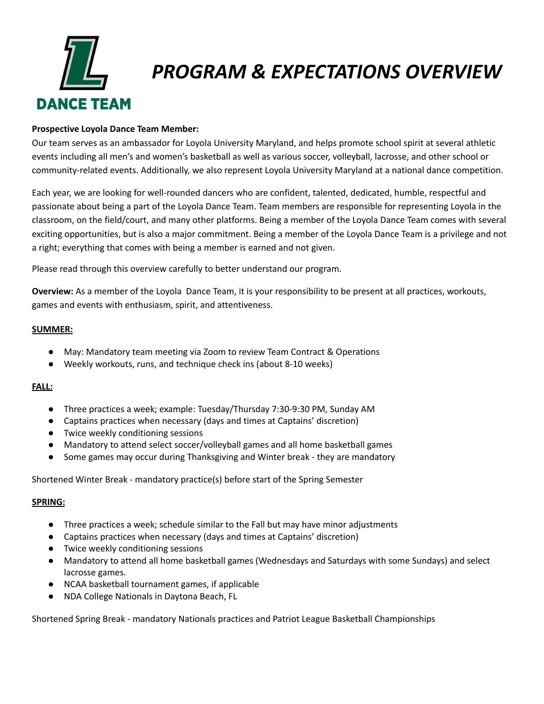

# *PROGRAM & EXPECTATIONS OVERVIEW*

### **Prospective Loyola Dance Team Member:**

Our team serves as an ambassador for Loyola University Maryland, and helps promote school spirit at several athletic events including all men's and women's basketball as well as various soccer, volleyball, lacrosse, and other school or community-related events. Additionally, we also represent Loyola University Maryland at a national dance competition.

Each year, we are looking for well-rounded dancers who are confident, talented, dedicated, humble, respectful and passionate about being a part of the Loyola Dance Team. Team members are responsible for representing Loyola in the classroom, on the field/court, and many other platforms. Being a member of the Loyola Dance Team comes with several exciting opportunities, but is also a major commitment. Being a member of the Loyola Dance Team is a privilege and not a right; everything that comes with being a member is earned and not given.

Please read through this overview carefully to better understand our program.

**Overview:** As a member of the Loyola Dance Team, it is your responsibility to be present at all practices, workouts, games and events with enthusiasm, spirit, and attentiveness.

### **SUMMER:**

- May: Mandatory team meeting via Zoom to review Team Contract & Operations
- Weekly workouts, runs, and technique check ins (about 8-10 weeks)

### **FALL:**

- Three practices a week; example: Tuesday/Thursday 7:30-9:30 PM, Sunday AM
- Captains practices when necessary (days and times at Captains' discretion)
- Twice weekly conditioning sessions
- Mandatory to attend select soccer/volleyball games and all home basketball games
- Some games may occur during Thanksgiving and Winter break they are mandatory

Shortened Winter Break - mandatory practice(s) before start of the Spring Semester

### **SPRING:**

- Three practices a week; schedule similar to the Fall but may have minor adjustments
- Captains practices when necessary (days and times at Captains' discretion)
- Twice weekly conditioning sessions
- Mandatory to attend all home basketball games (Wednesdays and Saturdays with some Sundays) and select lacrosse games.
- NCAA basketball tournament games, if applicable
- NDA College Nationals in Daytona Beach, FL

Shortened Spring Break - mandatory Nationals practices and Patriot League Basketball Championships